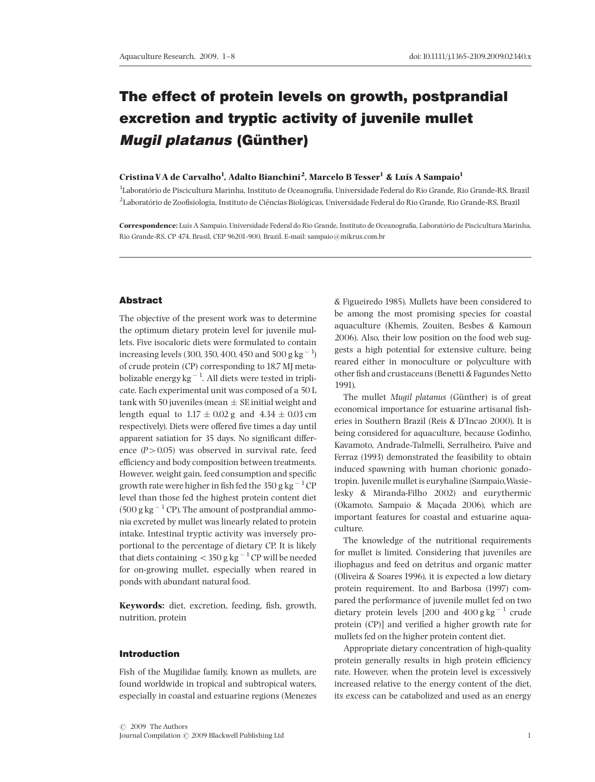# The effect of protein levels on growth, postprandial excretion and tryptic activity of juvenile mullet **Mugil platanus (Günther)**

## Cristina VA de Carvalho<sup>1</sup>, Adalto Bianchini<sup>2</sup>, Marcelo B Tesser<sup>1</sup> & Luís A Sampaio<sup>1</sup>

<sup>1</sup>Laboratório de Piscicultura Marinha, Instituto de Oceanografia, Universidade Federal do Rio Grande, Rio Grande-RS, Brazil  $^2$ Laboratório de Zoofisiologia, Instituto de Ciências Biológicas, Universidade Federal do Rio Grande, Rio Grande-RS, Brazil

Correspondence: Luís A Sampaio, Universidade Federal do Rio Grande, Instituto de Oceanografia, Laboratório de Piscicultura Marinha Rio Grande-RS, CP 474, Brasil, CEP 96201-900, Brazil. E-mail: sampaio@mikrus.com.br

## Abstract

The objective of the present work was to determine the optimum dietary protein level for juvenile mullets. Five isocaloric diets were formulated to contain increasing levels (300, 350, 400, 450 and 500 g  $\mathrm{kg}^{-1}$ ) of crude protein (CP) corresponding to 18.7 MJ metabolizable energy kg $^{-1}$ . All diets were tested in triplicate. Each experimental unit was composed of a 50 L tank with 50 juveniles (mean  $\pm$  SE initial weight and length equal to  $1.17 \pm 0.02$  g and  $4.34 \pm 0.03$  cm respectively). Diets were offered five times a day until apparent satiation for 35 days. No significant difference  $(P > 0.05)$  was observed in survival rate, feed efficiency and body composition between treatments. However, weight gain, feed consumption and specific growth rate were higher in fish fed the 350 g kg  $^{-1}\mathrm{CP}$ level than those fed the highest protein content diet  $(500 \text{ g kg}^{-1} \text{CP})$ . The amount of postprandial ammonia excreted by mullet was linearly related to protein intake. Intestinal tryptic activity was inversely proportional to the percentage of dietary CP. It is likely that diets containing  $<$  350 g kg  $^{-1}$  CP will be needed for on-growing mullet, especially when reared in ponds with abundant natural food.

Keywords: diet, excretion, feeding, fish, growth, nutrition, protein

#### Introduction

Fish of the Mugilidae family, known as mullets, are found worldwide in tropical and subtropical waters, especially in coastal and estuarine regions (Menezes & Figueiredo 1985). Mullets have been considered to be among the most promising species for coastal aquaculture (Khemis, Zouiten, Besbes & Kamoun 2006). Also, their low position on the food web suggests a high potential for extensive culture, being reared either in monoculture or polyculture with other fish and crustaceans (Benetti & Fagundes Netto 1991).

The mullet Mugil platanus (Günther) is of great economical importance for estuarine artisanal fisheries in Southern Brazil (Reis & D'Incao 2000). It is being considered for aquaculture, because Godinho, Kavamoto, Andrade-Talmelli, Serralheiro, Paive and Ferraz (1993) demonstrated the feasibility to obtain induced spawning with human chorionic gonadotropin. Juvenile mullet is euryhaline (Sampaio,Wasielesky & Miranda-Filho 2002) and eurythermic (Okamoto, Sampaio & Maçada 2006), which are important features for coastal and estuarine aquaculture.

The knowledge of the nutritional requirements for mullet is limited. Considering that juveniles are iliophagus and feed on detritus and organic matter (Oliveira & Soares 1996), it is expected a low dietary protein requirement. Ito and Barbosa (1997) compared the performance of juvenile mullet fed on two dietary protein levels [200 and  $400$  g kg<sup>-1</sup> crude protein (CP)] and verified a higher growth rate for mullets fed on the higher protein content diet.

Appropriate dietary concentration of high-quality protein generally results in high protein efficiency rate. However, when the protein level is excessively increased relative to the energy content of the diet, its excess can be catabolized and used as an energy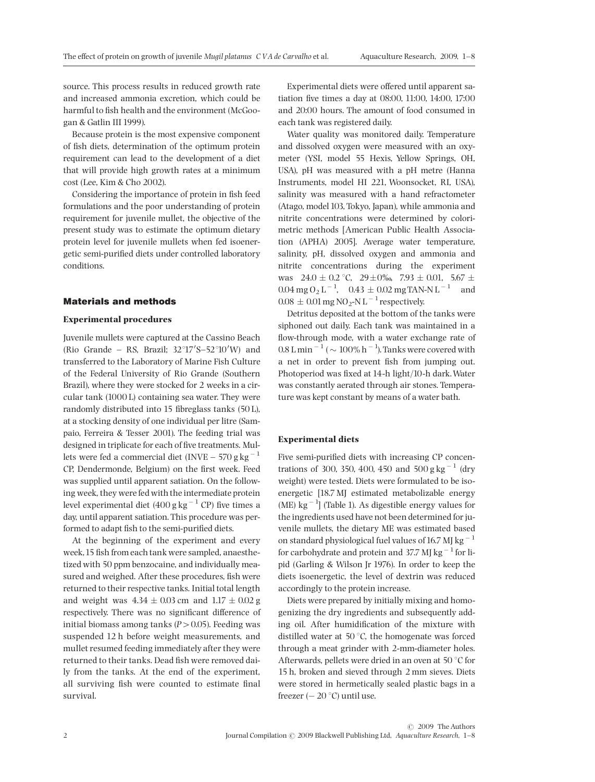source. This process results in reduced growth rate and increased ammonia excretion, which could be harmful to fish health and the environment (McGoogan & Gatlin III 1999).

Because protein is the most expensive component of fish diets, determination of the optimum protein requirement can lead to the development of a diet that will provide high growth rates at a minimum cost (Lee, Kim & Cho 2002).

Considering the importance of protein in fish feed formulations and the poor understanding of protein requirement for juvenile mullet, the objective of the present study was to estimate the optimum dietary protein level for juvenile mullets when fed isoenergetic semi-purified diets under controlled laboratory conditions.

#### Materials and methods

#### Experimental procedures

Juvenile mullets were captured at the Cassino Beach (Rio Grande - RS, Brazil;  $32^{\circ}17'S - 52^{\circ}10'W$ ) and transferred to the Laboratory of Marine Fish Culture of the Federal University of Rio Grande (Southern Brazil), where they were stocked for 2 weeks in a circular tank (1000 L) containing sea water. They were randomly distributed into 15 fibreglass tanks  $(50 L)$ , at a stocking density of one individual per litre (Sampaio, Ferreira & Tesser 2001). The feeding trial was designed in triplicate for each of five treatments. Mullets were fed a commercial diet (INVE – 570 g  $\text{kg}^{-1}$ CP, Dendermonde, Belgium) on the first week. Feed was supplied until apparent satiation. On the following week, they were fed with the intermediate protein level experimental diet  $(400 \text{ g kg}^{-1} \text{ CP})$  five times a day, until apparent satiation. This procedure was performed to adapt fish to the semi-purified diets.

At the beginning of the experiment and every week, 15 fish from each tank were sampled, anaesthetized with 50 ppm benzocaine, and individually measured and weighed. After these procedures, fish were returned to their respective tanks. Initial total length and weight was  $4.34 \pm 0.03$  cm and  $1.17 \pm 0.02$  g respectively. There was no significant difference of initial biomass among tanks ( $P > 0.05$ ). Feeding was suspended 12 h before weight measurements, and mullet resumed feeding immediately after they were returned to their tanks. Dead fish were removed daily from the tanks. At the end of the experiment, all surviving fish were counted to estimate final survival.

Experimental diets were offered until apparent satiation five times a day at 08:00, 11:00, 14:00, 17:00 and 20:00 hours. The amount of food consumed in each tank was registered daily.

Water quality was monitored daily. Temperature and dissolved oxygen were measured with an oxymeter (YSI, model 55 Hexis, Yellow Springs, OH, USA), pH was measured with a pH metre (Hanna Instruments, model HI 221, Woonsocket, RI, USA), salinity was measured with a hand refractometer (Atago, model 103, Tokyo, Japan), while ammonia and nitrite concentrations were determined by colorimetric methods [American Public Health Association (APHA) 2005]. Average water temperature, salinity, pH, dissolved oxygen and ammonia and nitrite concentrations during the experiment was  $24.0 \pm 0.2$  °C,  $29 \pm 0\%$ , 7.93  $\pm$  0.01, 5.67  $\pm$  $0.04 \text{ mg } 0_2 \text{ L}^{-1}$ ,  $0.43 \pm 0.02 \text{ mg} \text{TAN-N L}^{-1}$  and  $0.08\,\pm\,0.01\,\mathrm{mg}\,\mathrm{NO_2\text{-}N}\,\mathrm{L}^{-1}$  respectively.

Detritus deposited at the bottom of the tanks were siphoned out daily. Each tank was maintained in a flow-through mode, with a water exchange rate of  $0.8$  L min  $^{-1}$  (  $\sim 100\%$  h  $^{-1}$ ). Tanks were covered with a net in order to prevent fish from jumping out. Photoperiod was fixed at 14-h light/10-h dark. Water was constantly aerated through air stones. Temperature was kept constant by means of a water bath.

#### Experimental diets

Five semi-purified diets with increasing CP concentrations of 300, 350, 400, 450 and 500 g kg<sup>-1</sup> (dry weight) were tested. Diets were formulated to be isoenergetic [18.7 MJ estimated metabolizable energy  $(ME)$  kg<sup>-1</sup>] (Table 1). As digestible energy values for the ingredients used have not been determined for juvenile mullets, the dietary ME was estimated based on standard physiological fuel values of 16.7 MJ kg  $^{-1}$ for carbohydrate and protein and 37.7 MJ kg $^{-1}$  for lipid (Garling & Wilson Jr 1976). In order to keep the diets isoenergetic, the level of dextrin was reduced accordingly to the protein increase.

Diets were prepared by initially mixing and homogenizing the dry ingredients and subsequently adding oil. After humidification of the mixture with distilled water at 50 $\degree$ C, the homogenate was forced through a meat grinder with 2-mm-diameter holes. Afterwards, pellets were dried in an oven at 50  $\degree$ C for 15 h, broken and sieved through 2 mm sieves. Diets were stored in hermetically sealed plastic bags in a freezer  $(-20 \degree C)$  until use.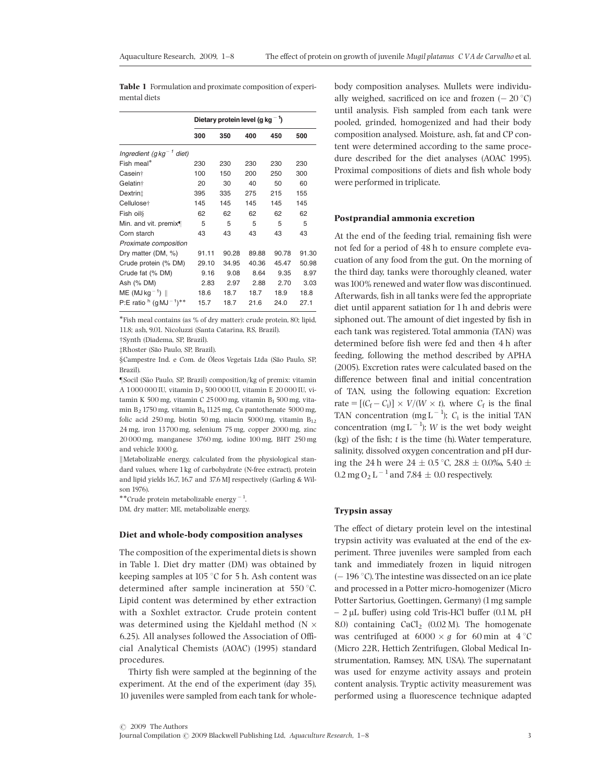Table 1 Formulation and proximate composition of experimental diets

|                                      | Dietary protein level (q kg $^{-1}$ ) |       |       |       |       |
|--------------------------------------|---------------------------------------|-------|-------|-------|-------|
|                                      | 300                                   | 350   | 400   | 450   | 500   |
| Ingredient (g kg <sup>-1</sup> diet) |                                       |       |       |       |       |
| Fish meal*                           | 230                                   | 230   | 230   | 230   | 230   |
| Casein <sup>+</sup>                  | 100                                   | 150   | 200   | 250   | 300   |
| Gelatin <sup>+</sup>                 | 20                                    | 30    | 40    | 50    | 60    |
| Dextrint                             | 395                                   | 335   | 275   | 215   | 155   |
| Cellulose <sup>+</sup>               | 145                                   | 145   | 145   | 145   | 145   |
| Fish oil                             | 62                                    | 62    | 62    | 62    | 62    |
| Min. and vit. premix¶                | 5                                     | 5     | 5     | 5     | 5     |
| Corn starch                          | 43                                    | 43    | 43    | 43    | 43    |
| Proximate composition                |                                       |       |       |       |       |
| Dry matter (DM, %)                   | 91.11                                 | 90.28 | 89.88 | 90.78 | 91.30 |
| Crude protein (% DM)                 | 29.10                                 | 34.95 | 40.36 | 45.47 | 50.98 |
| Crude fat (% DM)                     | 9.16                                  | 9.08  | 8.64  | 9.35  | 8.97  |
| Ash (% DM)                           | 2.83                                  | 2.97  | 2.88  | 2.70  | 3.03  |
| $ME (MJkq^{-1})$                     | 18.6                                  | 18.7  | 18.7  | 18.9  | 18.8  |
| P:E ratio $h$ (q MJ $^{-1}$ )**      | 15.7                                  | 18.7  | 21.6  | 24.0  | 27.1  |

-Fish meal contains (as % of dry matter): crude protein, 80; lipid, 11.8; ash, 9.01. Nicoluzzi (Santa Catarina, RS, Brazil).

 $\dagger$ Synth (Diadema, SP, Brazil). zRhoster (Sao Paulo, SP, Brazil).

§Campestre Ind. e Com. de Óleos Vegetais Ltda (São Paulo, SP, Brazil).

zSocil (Sao Paulo, SP, Brazil) composition/kg of premix: vitamin A 1000 000 IU, vitamin D<sub>3</sub> 500 000 UI, vitamin E 20 000 IU, vitamin K 500 mg, vitamin C 25000 mg, vitamin B<sub>1</sub> 500 mg, vitamin  $B_2$  1750 mg, vitamin  $B_6$  1125 mg, Ca pantothenate 5000 mg, folic acid 250 mg, biotin 50 mg, niacin 5000 mg, vitamin  $B_{12}$ 24 mg, iron 13700 mg, selenium 75 mg, copper 2000 mg, zinc 20 000 mg, manganese 3760 mg, iodine 100 mg, BHT 250 mg and vehicle 1000 g.

 $\parallel$ Metabolizable energy, calculated from the physiological standard values, where 1kg of carbohydrate (N-free extract), protein and lipid yields 16.7, 16.7 and 37.6 MJ respectively (Garling & Wilson 1976).

\*\*Crude protein metabolizable energy<sup>-1</sup>.

DM, dry matter; ME, metabolizable energy.

#### Diet and whole-body composition analyses

The composition of the experimental diets is shown in Table 1. Diet dry matter (DM) was obtained by keeping samples at 105 °C for 5 h. Ash content was determined after sample incineration at  $550^{\circ}$ C. Lipid content was determined by ether extraction with a Soxhlet extractor. Crude protein content was determined using the Kjeldahl method (N 6.25). All analyses followed the Association of Official Analytical Chemists (AOAC) (1995) standard procedures.

Thirty fish were sampled at the beginning of the experiment. At the end of the experiment (day 35), 10 juveniles were sampled from each tank for wholebody composition analyses. Mullets were individually weighed, sacrificed on ice and frozen  $(-20^{\circ}C)$ until analysis. Fish sampled from each tank were pooled, grinded, homogenized and had their body composition analysed. Moisture, ash, fat and CP content were determined according to the same procedure described for the diet analyses (AOAC 1995). Proximal compositions of diets and fish whole body were performed in triplicate.

#### Postprandial ammonia excretion

At the end of the feeding trial, remaining fish were not fed for a period of 48 h to ensure complete evacuation of any food from the gut. On the morning of the third day, tanks were thoroughly cleaned, water was 100% renewed and water flow was discontinued. Afterwards, fish in all tanks were fed the appropriate diet until apparent satiation for 1h and debris were siphoned out. The amount of diet ingested by fish in each tank was registered. Total ammonia (TAN) was determined before fish were fed and then 4 h after feeding, following the method described by APHA (2005). Excretion rates were calculated based on the difference between final and initial concentration of TAN, using the following equation: Excretion rate =  $[(C_f - C_i)] \times V/(W \times t)$ , where  $C_f$  is the final TAN concentration (mg  $L^{-1}$ );  $C_i$  is the initial TAN concentration (mg L<sup>-1</sup>); W is the wet body weight  $(kg)$  of the fish; t is the time (h). Water temperature, salinity, dissolved oxygen concentration and pH during the 24 h were 24  $\pm$  0.5 °C, 28.8  $\pm$  0.0‰, 5.40  $\pm$  $0.2$  mg O<sub>2</sub> L  $^{-1}$  and 7.84  $\pm$  0.0 respectively.

## Trypsin assay

The effect of dietary protein level on the intestinal trypsin activity was evaluated at the end of the experiment. Three juveniles were sampled from each tank and immediately frozen in liquid nitrogen  $(-196 °C)$ . The intestine was dissected on an ice plate and processed in a Potter micro-homogenizer (Micro Potter Sartorius, Goettingen, Germany) (1mg sample  $- 2 \mu$ L buffer) using cold Tris-HCl buffer (0.1M, pH 8.0) containing  $CaCl<sub>2</sub>$  (0.02 M). The homogenate was centrifuged at  $6000 \times g$  for 60 min at  $4^{\circ}$ C (Micro 22R, Hettich Zentrifugen, Global Medical Instrumentation, Ramsey, MN, USA). The supernatant was used for enzyme activity assays and protein content analysis. Tryptic activity measurement was performed using a fluorescence technique adapted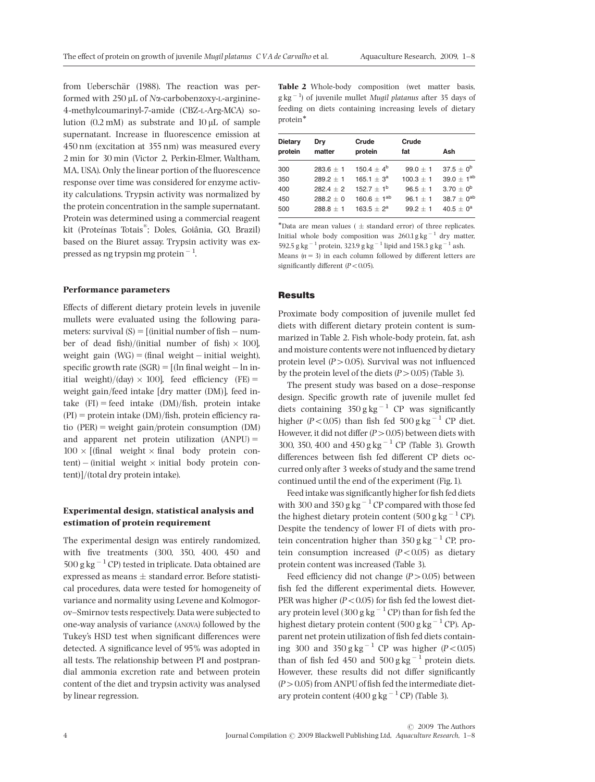from Ueberschär (1988). The reaction was performed with  $250 \mu L$  of N $\alpha$ -carbobenzoxy-L-arginine-4-methylcoumarinyl-7-amide (CBZ-L-Arg-MCA) solution  $(0.2 \text{ mM})$  as substrate and  $10 \text{ uL}$  of sample supernatant. Increase in fluorescence emission at 450 nm (excitation at 355 nm) was measured every 2 min for 30 min (Victor 2, Perkin-Elmer, Waltham, MA, USA). Only the linear portion of the fluorescence response over time was considered for enzyme activity calculations. Trypsin activity was normalized by the protein concentration in the sample supernatant. Protein was determined using a commercial reagent kit (Proteínas Totais®; Doles, Goiânia, GO, Brazil) based on the Biuret assay. Trypsin activity was expressed as ng trypsin mg protein  $^{-1}$ .

#### Performance parameters

Effects of different dietary protein levels in juvenile mullets were evaluated using the following parameters: survival  $(S) = [$ (initial number of fish  $-$  number of dead fish)/(initial number of fish)  $\times$  100], weight gain  $(WG) = (final weight - initial weight)$ , specific growth rate  $(SGR) = [(ln final weight - ln in$ itial weight)/(day)  $\times$  100], feed efficiency (FE) = weight gain/feed intake [dry matter (DM)], feed intake  $(FI) = feed$  intake  $(DM)/fish$ , protein intake  $(PI)$  = protein intake  $(DM)/fish$ , protein efficiency ratio  $(PER)$  = weight gain/protein consumption  $(DM)$ and apparent net protein utilization  $(ANPU) =$  $100 \times$  [(final weight  $\times$  final body protein con $tent$ ) – (initial weight  $\times$  initial body protein content)]/(total dry protein intake).

# Experimental design, statistical analysis and estimation of protein requirement

The experimental design was entirely randomized, with five treatments (300, 350, 400, 450 and 500 g kg $^{-1}$  CP) tested in triplicate. Data obtained are expressed as means  $\pm$  standard error. Before statistical procedures, data were tested for homogeneity of variance and normality using Levene and Kolmogorov-Smirnov tests respectively. Data were subjected to one-way analysis of variance (ANOVA) followed by the Tukey's HSD test when significant differences were detected. A significance level of 95% was adopted in all tests. The relationship between PI and postprandial ammonia excretion rate and between protein content of the diet and trypsin activity was analysed by linear regression.

Table 2 Whole-body composition (wet matter basis,  $g kg<sup>-1</sup>$ ) of juvenile mullet Mugil platanus after 35 days of feeding on diets containing increasing levels of dietary protein<sup>\*</sup>

| <b>Dietary</b> | Dry         | Crude            | Crude       | Ash                        |
|----------------|-------------|------------------|-------------|----------------------------|
| protein        | matter      | protein          | fat         |                            |
| 300            | $283.6 + 1$ | $150.4 + 4^{b}$  | $99.0 + 1$  | $37.5 + 0^b$               |
| 350            | $289.2 + 1$ | $165.1 + 3^a$    | $100.3 + 1$ | 39.0 $\pm$ 1 <sup>ab</sup> |
| 400            | $2824 + 2$  | $152.7 + 1^{b}$  | $96.5 + 1$  | $3.70 + 0^b$               |
| 450            | $288.2 + 0$ | $160.6 + 1^{ab}$ | $96.1 + 1$  | 38.7 $\pm$ 0 <sup>ab</sup> |
| 500            | $288.8 + 1$ | $163.5 + 2^a$    | $99.2 + 1$  | $40.5 + 0^a$               |

\*Data are mean values ( $\pm$  standard error) of three replicates. Initial whole body composition was  $260.1\,\mathrm{g\,kg}^{-1}$  dry matter, 592.5 g kg<sup>-1</sup> protein, 323.9 g kg<sup>-1</sup> lipid and 158.3 g kg<sup>-1</sup> ash. Means  $(n = 3)$  in each column followed by different letters are

significantly different  $(P<0.05)$ .

## Results

Proximate body composition of juvenile mullet fed diets with different dietary protein content is summarized in Table 2. Fish whole-body protein, fat, ash and moisture contents were not influenced by dietary protein level  $(P > 0.05)$ . Survival was not influenced by the protein level of the diets  $(P > 0.05)$  (Table 3).

The present study was based on a dose-response design. Specific growth rate of juvenile mullet fed diets containing  $350 \text{ g kg}^{-1}$  CP was significantly higher ( $P < 0.05$ ) than fish fed  $500$  g kg<sup>-1</sup> CP diet. However, it did not differ  $(P>0.05)$  between diets with 300, 350, 400 and 450 g kg<sup> $-1$ </sup> CP (Table 3). Growth differences between fish fed different CP diets occurred only after 3 weeks of study and the same trend continued until the end of the experiment (Fig.1).

Feed intake was significantly higher for fish fed diets with 300 and 350 g kg<sup>-1</sup> CP compared with those fed the highest dietary protein content  $(500 \text{ g kg}^{-1} \text{ CP})$ . Despite the tendency of lower FI of diets with protein concentration higher than  $350$  g kg<sup>-1</sup> CP, protein consumption increased  $(P<0.05)$  as dietary protein content was increased (Table 3).

Feed efficiency did not change  $(P>0.05)$  between fish fed the different experimental diets. However, PER was higher ( $P < 0.05$ ) for fish fed the lowest dietary protein level (300 g kg<sup>-1</sup> CP) than for fish fed the highest dietary protein content (500 g kg $^{-1}$  CP). Apparent net protein utilization of fish fed diets containing 300 and 350 g kg<sup>-1</sup> CP was higher ( $P < 0.05$ ) than of fish fed 450 and  $500 g kg<sup>-1</sup>$  protein diets. However, these results did not differ significantly  $(P>0.05)$  from ANPU of fish fed the intermediate dietary protein content (400 g kg $^{-1}$  CP) (Table 3).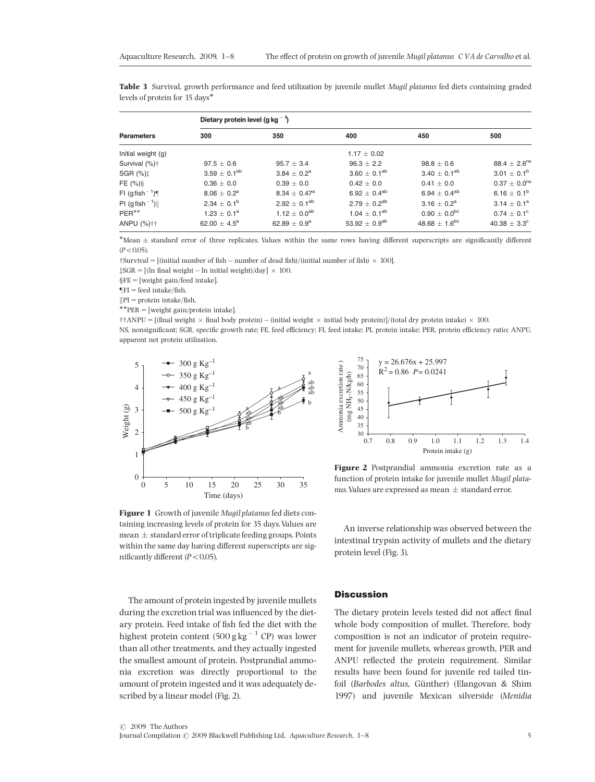| <b>Parameters</b>                     | Dietary protein level (q kg $^{-1}$ ) |                         |                     |                              |                              |  |  |
|---------------------------------------|---------------------------------------|-------------------------|---------------------|------------------------------|------------------------------|--|--|
|                                       | 300                                   | 350                     | 400                 | 450                          | 500                          |  |  |
| Initial weight (g)                    |                                       |                         | $1.17 \pm 0.02$     |                              |                              |  |  |
| Survival (%) <sup>+</sup>             | $97.5 \pm 0.6$                        | $95.7 \pm 3.4$          | $96.3 \pm 2.2$      | $98.8 \pm 0.6$               | $88.4 \pm 2.6^{\text{ns}}$   |  |  |
| SGR $(%)$ <sup><math>\pm</math></sup> | $3.59 \pm 0.1^{ab}$                   | $3.84 \pm 0.2^a$        | $3.60 \pm 0.1^{ab}$ | $3.40 \pm 0.1^{ab}$          | $3.01 \pm 0.1^b$             |  |  |
| FE $(\%)\$                            | $0.36 \pm 0.0$                        | $0.39 \pm 0.0$          | $0.42 \pm 0.0$      | $0.41 \pm 0.0$               | $0.37 \pm 0.0$ <sup>ns</sup> |  |  |
| FI (gfish <sup>-1</sup> )             | $8.06 \pm 0.2^{\rm a}$                | $8.34 \pm 0.47^{\rm a}$ | $6.92 \pm 0.4^{ab}$ | 6.94 $\pm$ 0.4 <sup>ab</sup> | $6.16 \pm 0.1^b$             |  |  |
| PI (gfish <sup>-1</sup> )             | $2.34 + 0.1^b$                        | $2.92 \pm 0.1^{ab}$     | $2.79 + 0.2^{ab}$   | $3.16 + 0.2^a$               | $3.14 \pm 0.1^a$             |  |  |

Table 3 Survival, growth performance and feed utilization by juvenile mullet Mugil platanus fed diets containing graded levels of protein for 35 days-

ANPU (%)  $\dagger$  62.00  $\pm$  4.5<sup>a</sup> 62.89  $\pm$  0.9<sup>a</sup> 53.92  $\pm$  0.9<sup>ab</sup> 48.68  $\pm$  1.6<sup>bc</sup> 40.38  $\pm$  3.3<sup>c</sup> \*Mean ± standard error of three replicates. Values within the same rows having different superscripts are significantly different  $(P < 0.05)$ .

\* 1.23  $\pm$  0.1<sup>a</sup> 1.12  $\pm$  0.0<sup>ab</sup> 1.04  $\pm$  0.1<sup>ab</sup> 0.90  $\pm$  0.0<sup>bc</sup> 0.74  $\pm$  0.1<sup>c</sup>

 $\dagger$ Survival = [(initial number of fish – number of dead fish)/(initial number of fish)  $\times$  100].<br> $\ddagger$ SCR = [(lp final weight = lp initial weight)/dex]  $\times$  100

 $\ddagger$ SGR = [(ln final weight – ln initial weight)/day]  $\times$  100.

 $\S$ FE = [weight gain/feed intake].

 $\P$ FI = feed intake/fish.<br> $\|$ PI = protein intake/fish.

PER<sup>\*\*</sup>

 $\begin{aligned} \|\text{PI} & = \text{protein intake/fish.} \*^* \text{PER} = [\text{weight gain/protein intake}]. \end{aligned}$ 

 $\dagger$ †ANPU = [(final weight  $\times$  final body protein) – (initial weight  $\times$  initial body protein)]/(total dry protein intake)  $\times$  100.<br>NS papeiraificant: SCP exacitie gravity rate EE food officiency EL food intake) PL pro NS, nonsignificant; SGR, specific growth rate; FE, feed efficiency; FI, feed intake; PI, protein intake; PER, protein efficiency ratio; ANPU, apparent net protein utilization.





Figure 2 Postprandial ammonia excretion rate as a function of protein intake for juvenile mullet Mugil platanus. Values are expressed as mean  $\pm$  standard error.

Figure 1 Growth of juvenile Mugil platanus fed diets containing increasing levels of protein for 35 days.Values are mean  $\pm$  standard error of triplicate feeding groups. Points within the same day having different superscripts are significantly different ( $P < 0.05$ ).

An inverse relationship was observed between the intestinal trypsin activity of mullets and the dietary protein level (Fig. 3).

The amount of protein ingested by juvenile mullets during the excretion trial was influenced by the dietary protein. Feed intake of fish fed the diet with the highest protein content  $(500 \text{ g kg}^{-1} \text{ CP})$  was lower than all other treatments, and they actually ingested the smallest amount of protein. Postprandial ammonia excretion was directly proportional to the amount of protein ingested and it was adequately described by a linear model (Fig. 2).

### **Discussion**

The dietary protein levels tested did not affect final whole body composition of mullet. Therefore, body composition is not an indicator of protein requirement for juvenile mullets, whereas growth, PER and ANPU reflected the protein requirement. Similar results have been found for juvenile red tailed tinfoil (Barbodes altus, Günther) (Elangovan & Shim 1997) and juvenile Mexican silverside (Menidia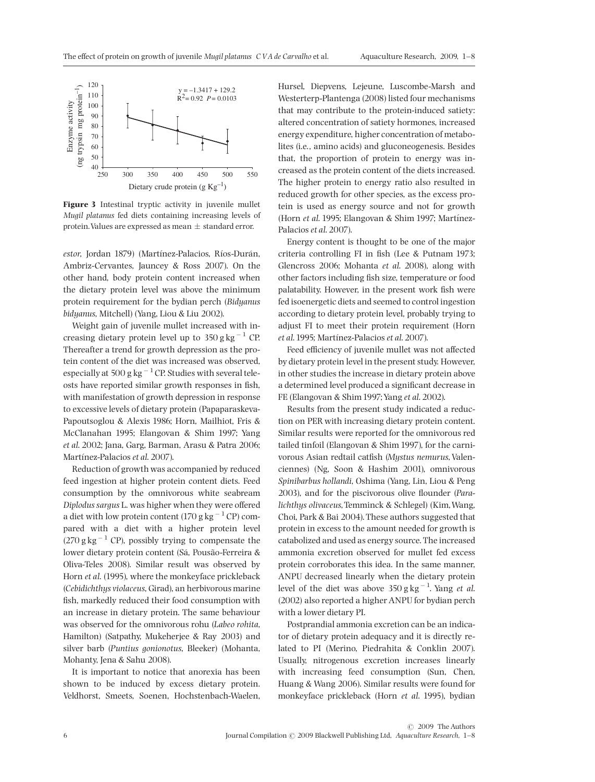

Figure 3 Intestinal tryptic activity in juvenile mullet Mugil platanus fed diets containing increasing levels of protein. Values are expressed as mean  $\pm$  standard error.

estor, Jordan 1879) (Martínez-Palacios, Ríos-Durán, Ambriz-Cervantes, Jauncey & Ross 2007). On the other hand, body protein content increased when the dietary protein level was above the minimum protein requirement for the bydian perch (Bidyanus bidyanus, Mitchell) (Yang, Liou & Liu 2002).

Weight gain of juvenile mullet increased with increasing dietary protein level up to  $350$  g kg<sup>-1</sup> CP. Thereafter a trend for growth depression as the protein content of the diet was increased was observed, especially at 500 g kg  $^{-1}$  CP. Studies with several teleosts have reported similar growth responses in fish, with manifestation of growth depression in response to excessive levels of dietary protein (Papaparaskeva-Papoutsoglou & Alexis 1986; Horn, Mailhiot, Fris & McClanahan 1995; Elangovan & Shim 1997; Yang et al. 2002; Jana, Garg, Barman, Arasu & Patra 2006; Martínez-Palacios et al. 2007).

Reduction of growth was accompanied by reduced feed ingestion at higher protein content diets. Feed consumption by the omnivorous white seabream Diplodus sargus L. was higher when they were offered a diet with low protein content (170 g  $kg^{-1}$  CP) compared with a diet with a higher protein level  $(270 \text{ g kg}^{-1} \text{ CP})$ , possibly trying to compensate the lower dietary protein content (Sá, Pousão-Ferreira & Oliva-Teles 2008). Similar result was observed by Horn et al. (1995), where the monkeyface prickleback (Cebidichthys violaceus, Girad), an herbivorous marine fish, markedly reduced their food consumption with an increase in dietary protein. The same behaviour was observed for the omnivorous rohu (Labeo rohita, Hamilton) (Satpathy, Mukeherjee & Ray 2003) and silver barb (Puntius gonionotus, Bleeker) (Mohanta, Mohanty, Jena & Sahu 2008).

It is important to notice that anorexia has been shown to be induced by excess dietary protein. Veldhorst, Smeets, Soenen, Hochstenbach-Waelen, Hursel, Diepvens, Lejeune, Luscombe-Marsh and Westerterp-Plantenga (2008) listed four mechanisms that may contribute to the protein-induced satiety: altered concentration of satiety hormones, increased energy expenditure, higher concentration of metabolites (i.e., amino acids) and gluconeogenesis. Besides that, the proportion of protein to energy was increased as the protein content of the diets increased. The higher protein to energy ratio also resulted in reduced growth for other species, as the excess protein is used as energy source and not for growth (Horn  $et$  al. 1995; Elangovan & Shim 1997; Martínez-Palacios et al. 2007).

Energy content is thought to be one of the major criteria controlling FI in fish (Lee & Putnam 1973; Glencross 2006; Mohanta et al. 2008), along with other factors including fish size, temperature or food palatability. However, in the present work fish were fed isoenergetic diets and seemed to control ingestion according to dietary protein level, probably trying to adjust FI to meet their protein requirement (Horn et al. 1995; Martínez-Palacios et al. 2007).

Feed efficiency of juvenile mullet was not affected by dietary protein level in the present study. However, in other studies the increase in dietary protein above a determined level produced a significant decrease in FE (Elangovan & Shim 1997; Yang et al. 2002).

Results from the present study indicated a reduction on PER with increasing dietary protein content. Similar results were reported for the omnivorous red tailed tinfoil (Elangovan & Shim 1997), for the carnivorous Asian redtail catfish (Mystus nemurus, Valenciennes) (Ng, Soon & Hashim 2001), omnivorous Spinibarbus hollandi, Oshima (Yang, Lin, Liou & Peng 2003), and for the piscivorous olive flounder (Paralichthys olivaceus,Temminck & Schlegel) (Kim,Wang, Choi, Park & Bai 2004). These authors suggested that protein in excess to the amount needed for growth is catabolized and used as energy source. The increased ammonia excretion observed for mullet fed excess protein corroborates this idea. In the same manner, ANPU decreased linearly when the dietary protein level of the diet was above  $350 g kg^{-1}$ . Yang *et al.* (2002) also reported a higher ANPU for bydian perch with a lower dietary PI.

Postprandial ammonia excretion can be an indicator of dietary protein adequacy and it is directly related to PI (Merino, Piedrahita & Conklin 2007). Usually, nitrogenous excretion increases linearly with increasing feed consumption (Sun, Chen, Huang & Wang 2006). Similar results were found for monkeyface prickleback (Horn et al. 1995), bydian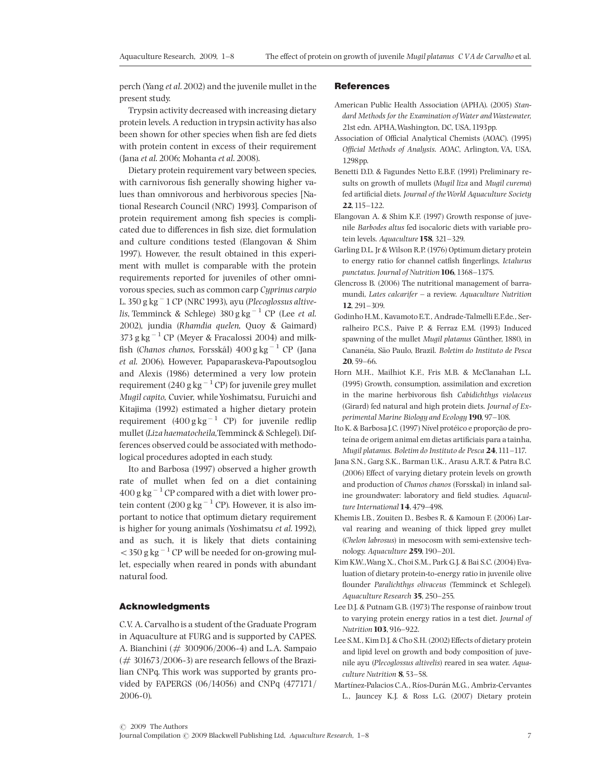perch (Yang et al. 2002) and the juvenile mullet in the present study.

Trypsin activity decreased with increasing dietary protein levels. A reduction in trypsin activity has also been shown for other species when fish are fed diets with protein content in excess of their requirement (Jana et al. 2006; Mohanta et al. 2008).

Dietary protein requirement vary between species, with carnivorous fish generally showing higher values than omnivorous and herbivorous species [National Research Council (NRC) 1993]. Comparison of protein requirement among fish species is complicated due to differences in fish size, diet formulation and culture conditions tested (Elangovan & Shim 1997). However, the result obtained in this experiment with mullet is comparable with the protein requirements reported for juveniles of other omnivorous species, such as common carp Cyprinus carpio L. 350 g kg<sup>-</sup> 1 CP (NRC 1993), ayu (Plecoglossus altive*lis,* Temminck & Schlege)  $380$  g kg  $^{-1}$  CP (Lee *et al.* 2002), jundia (Rhamdia quelen, Quoy & Gaimard) 373 g kg $^{-1}$  CP (Meyer & Fracalossi 2004) and milkfish (Chanos chanos, Forsskål)  $400\,\mathrm{g}\,\mathrm{kg}^{-1}$  CP (Jana et al. 2006). However, Papaparaskeva-Papoutsoglou and Alexis (1986) determined a very low protein requirement (240 g kg  $^{-1}$  CP) for juvenile grey mullet Mugil capito, Cuvier, whileYoshimatsu, Furuichi and Kitajima (1992) estimated a higher dietary protein requirement  $(400 \text{ g kg}^{-1} \text{ CP})$  for juvenile redlip mullet (Liza haematocheila,Temminck & Schlegel). Differences observed could be associated with methodological procedures adopted in each study.

Ito and Barbosa (1997) observed a higher growth rate of mullet when fed on a diet containing  $400$  g kg<sup>-1</sup> CP compared with a diet with lower protein content  $(200 \text{ g kg}^{-1} \text{ CP})$ . However, it is also important to notice that optimum dietary requirement is higher for young animals (Yoshimatsu et al. 1992), and as such, it is likely that diets containing  $<$  350 g kg<sup>-1</sup> CP will be needed for on-growing mullet, especially when reared in ponds with abundant natural food.

## Acknowledgments

C.V. A. Carvalho is a student of the Graduate Program in Aquaculture at FURG and is supported by CAPES. A. Bianchini (# 300906/2006-4) and L.A. Sampaio  $(\# 301673/2006-3)$  are research fellows of the Brazilian CNPq. This work was supported by grants provided by FAPERGS (06/14056) and CNPq (477171/ 2006-0).

#### References

- American Public Health Association (APHA). (2005) Standard Methods for the Examination of Water and Wastewater, 21st edn. APHA,Washington, DC, USA,1193pp.
- Association of Official Analytical Chemists (AOAC). (1995) Official Methods of Analysis. AOAC, Arlington, VA, USA, 1298pp.
- Benetti D.D. & Fagundes Netto E.B.F. (1991) Preliminary results on growth of mullets (Mugil liza and Mugil curema) fed artificial diets. Journal of the World Aquaculture Society 22,115^122.
- Elangovan A. & Shim K.F. (1997) Growth response of juvenile Barbodes altus fed isocaloric diets with variable protein levels. Aquaculture 158, 321-329.
- Garling D.L. Jr & Wilson R.P. (1976) Optimum dietary protein to energy ratio for channel catfish fingerlings, Ictalurus punctatus. Journal of Nutrition 106, 1368-1375.
- Glencross B. (2006) The nutritional management of barramundi, Lates calcarifer  $-$  a review. Aquaculture Nutrition  $12.291 - 309.$
- Godinho H.M., Kavamoto E.T., Andrade-Talmelli E.F.de., Serralheiro P.C.S., Paive P. & Ferraz E.M. (1993) Induced spawning of the mullet Mugil platanus Günther, 1880, in Cananéia, São Paulo, Brazil. Boletim do Instituto de Pesca 20, 59-66.
- Horn M.H., Mailhiot K.F., Fris M.B. & McClanahan L.L. (1995) Growth, consumption, assimilation and excretion in the marine herbivorous fish Cabidichthys violaceus (Girard) fed natural and high protein diets. Journal of Experimental Marine Biology and Ecology  $190, 97-108$ .
- Ito K. & Barbosa J.C. (1997) Nível protéico e proporção de proteína de origem animal em dietas artificiais para a tainha, Mugil platanus. Boletim do Instituto de Pesca 24, 111-117.
- Jana S.N., Garg S.K., Barman U.K., Arasu A.R.T. & Patra B.C. (2006) Effect of varying dietary protein levels on growth and production of Chanos chanos (Forsskal) in inland saline groundwater: laboratory and field studies. Aquaculture International  $14$ , 479-498.
- Khemis I.B., Zouiten D., Besbes R. & Kamoun F. (2006) Larval rearing and weaning of thick lipped grey mullet (Chelon labrosus) in mesocosm with semi-extensive technology. Aquaculture 259, 190-201.
- Kim K.W.,Wang X., Choi S.M., Park G.J. & Bai S.C. (2004) Evaluation of dietary protein-to-energy ratio in juvenile olive flounder Paralichthys olivaceus (Temminck et Schlegel). Aquaculture Research 35, 250-255.
- Lee D.J. & Putnam G.B. (1973) The response of rainbow trout to varying protein energy ratios in a test diet. Journal of Nutrition 103, 916-922.
- Lee S.M., Kim D.J. & Cho S.H. (2002) Effects of dietary protein and lipid level on growth and body composition of juvenile ayu (Plecoglossus altivelis) reared in sea water. Aquaculture Nutrition 8, 53-58.
- Martínez-Palacios C.A., Ríos-Durán M.G., Ambriz-Cervantes L., Jauncey K.J. & Ross L.G. (2007) Dietary protein